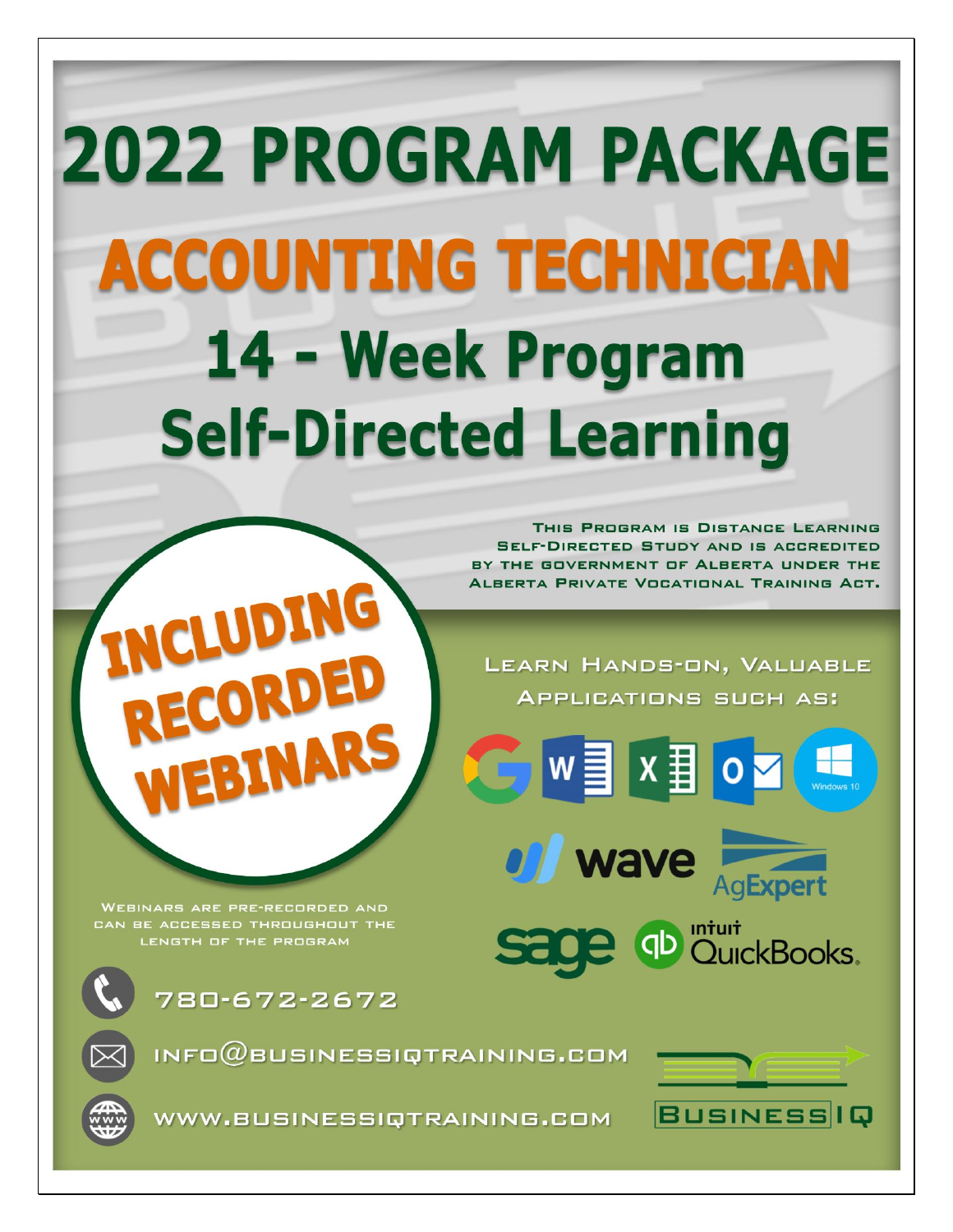# **2022 PROGRAM PACKAGE ACCOUNTING TECHNICIAN** 14 - Week Program **Self-Directed Learning**

THIS PROGRAM IS DISTANCE LEARNING **SELF-DIRECTED STUDY AND IS ACCREDITED** BY THE GOVERNMENT OF ALBERTA UNDER THE **ALBERTA PRIVATE VOCATIONAL TRAINING ACT.** 

LEARN HANDS-ON, VALUABLE **APPLICATIONS SUCH AS:** 

of wave AgExpert

**Sage @D** DuickBooks.

 $w \equiv x \equiv$ 

**WEBINARS ARE PRE-RECORDED AND** CAN BE ACCESSED THROUGHOUT THE LENGTH OF THE PROGRAM



780-672-2672

LUDING

INFO $@$ BUSINESSIQTRAINING.COM





WWW.BUSINESSIQTRAINING.COM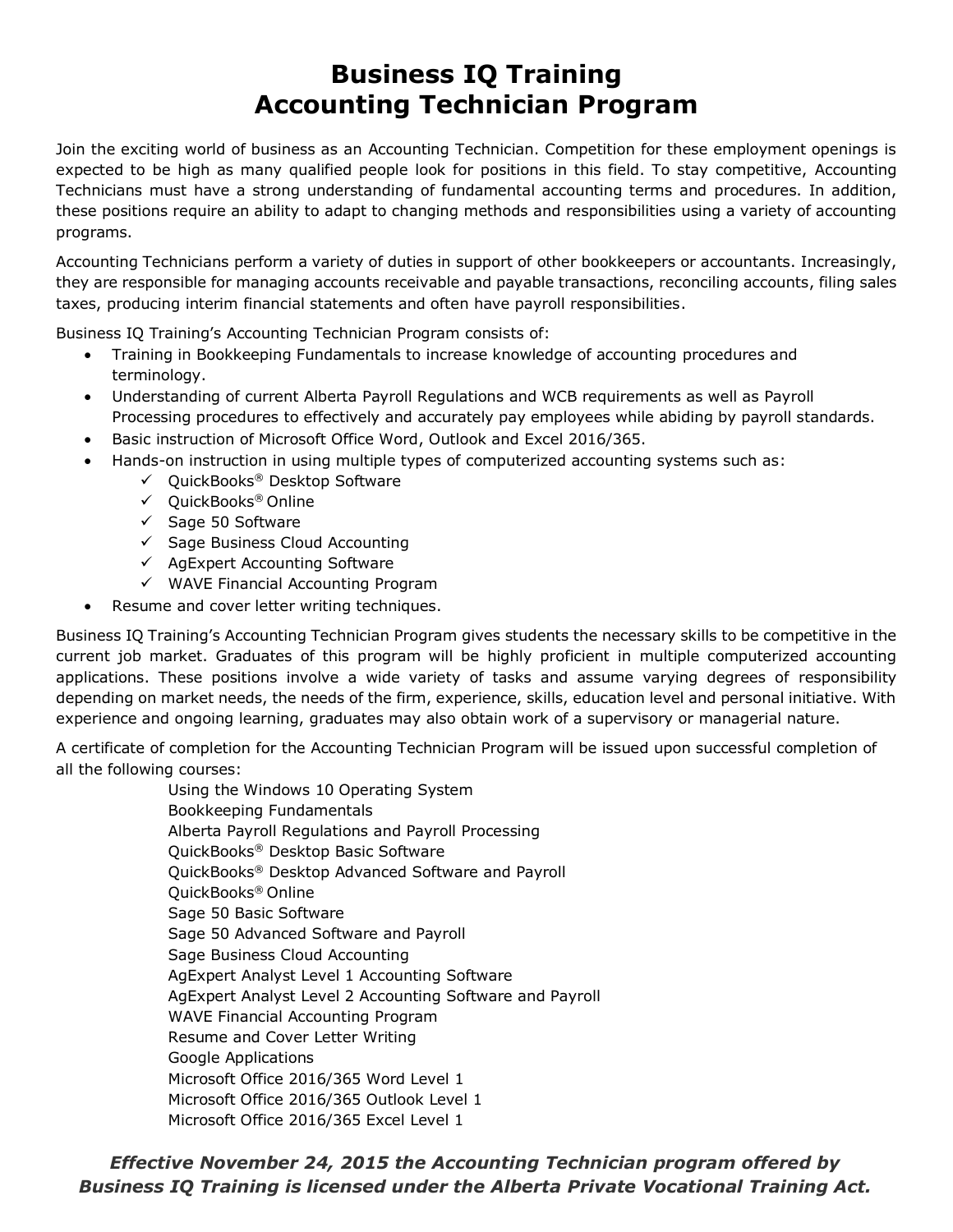## **Business IQ Training Accounting Technician Program**

Join the exciting world of business as an Accounting Technician. Competition for these employment openings is expected to be high as many qualified people look for positions in this field. To stay competitive, Accounting Technicians must have a strong understanding of fundamental accounting terms and procedures. In addition, these positions require an ability to adapt to changing methods and responsibilities using a variety of accounting programs.

Accounting Technicians perform a variety of duties in support of other bookkeepers or accountants. Increasingly, they are responsible for managing accounts receivable and payable transactions, reconciling accounts, filing sales taxes, producing interim financial statements and often have payroll responsibilities.

Business IQ Training's Accounting Technician Program consists of:

- Training in Bookkeeping Fundamentals to increase knowledge of accounting procedures and terminology.
- Understanding of current Alberta Payroll Regulations and WCB requirements as well as Payroll Processing procedures to effectively and accurately pay employees while abiding by payroll standards.
- Basic instruction of Microsoft Office Word, Outlook and Excel 2016/365.
	- Hands-on instruction in using multiple types of computerized accounting systems such as:
		- ✓ QuickBooks® Desktop Software
		- ✓ QuickBooks® Online
		- ✓ Sage 50 Software
		- ✓ Sage Business Cloud Accounting
		- ✓ AgExpert Accounting Software
		- ✓ WAVE Financial Accounting Program
	- Resume and cover letter writing techniques.

Business IQ Training's Accounting Technician Program gives students the necessary skills to be competitive in the current job market. Graduates of this program will be highly proficient in multiple computerized accounting applications. These positions involve a wide variety of tasks and assume varying degrees of responsibility depending on market needs, the needs of the firm, experience, skills, education level and personal initiative. With experience and ongoing learning, graduates may also obtain work of a supervisory or managerial nature.

A certificate of completion for the Accounting Technician Program will be issued upon successful completion of all the following courses:

> Using the Windows 10 Operating System Bookkeeping Fundamentals Alberta Payroll Regulations and Payroll Processing QuickBooks® Desktop Basic Software QuickBooks® Desktop Advanced Software and Payroll QuickBooks® Online Sage 50 Basic Software Sage 50 Advanced Software and Payroll Sage Business Cloud Accounting AgExpert Analyst Level 1 Accounting Software AgExpert Analyst Level 2 Accounting Software and Payroll WAVE Financial Accounting Program Resume and Cover Letter Writing Google Applications Microsoft Office 2016/365 Word Level 1 Microsoft Office 2016/365 Outlook Level 1 Microsoft Office 2016/365 Excel Level 1

*Effective November 24, 2015 the Accounting Technician program offered by Business IQ Training is licensed under the Alberta Private Vocational Training Act.*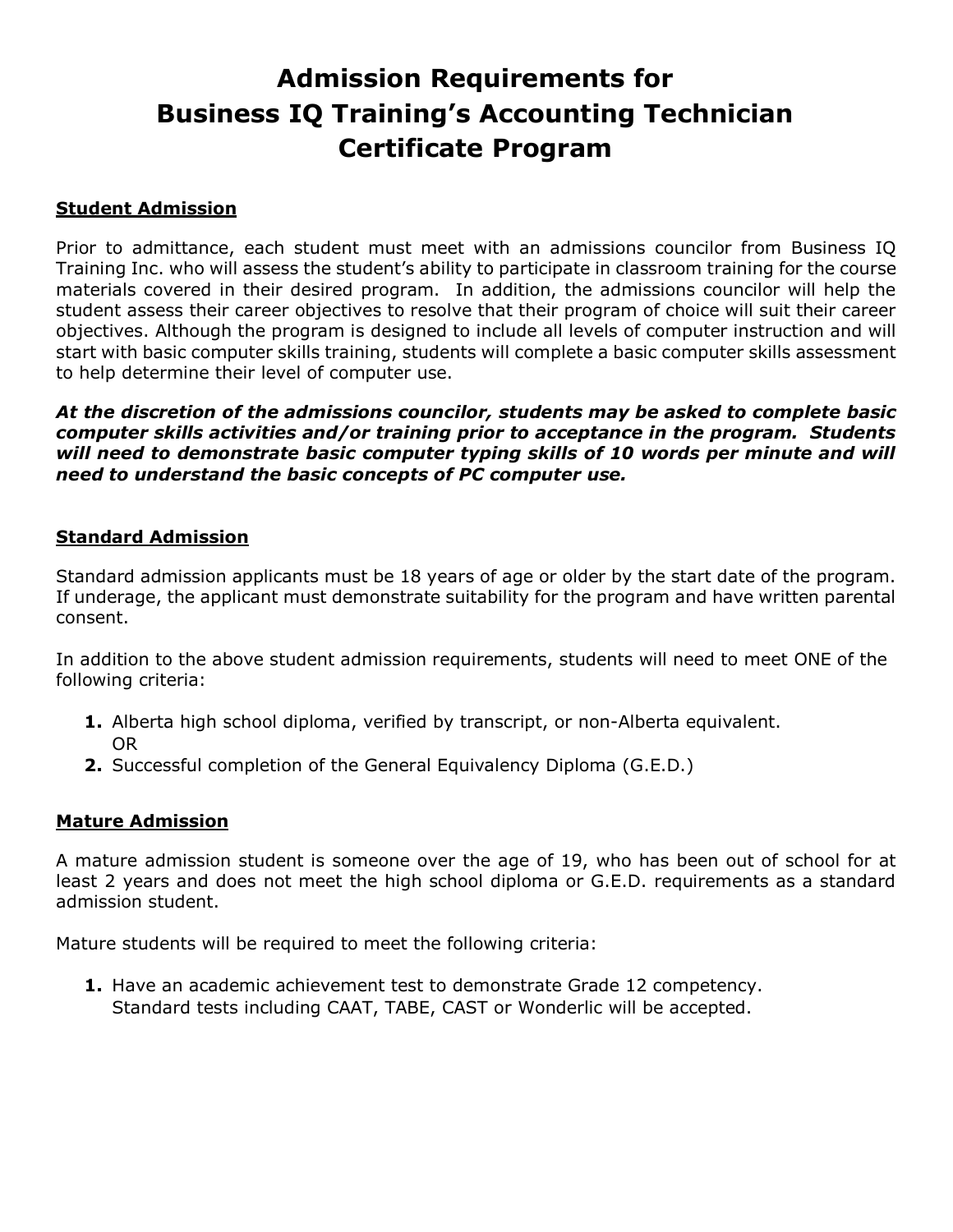# **Admission Requirements for Business IQ Training's Accounting Technician Certificate Program**

#### **Student Admission**

Prior to admittance, each student must meet with an admissions councilor from Business IQ Training Inc. who will assess the student's ability to participate in classroom training for the course materials covered in their desired program. In addition, the admissions councilor will help the student assess their career objectives to resolve that their program of choice will suit their career objectives. Although the program is designed to include all levels of computer instruction and will start with basic computer skills training, students will complete a basic computer skills assessment to help determine their level of computer use.

*At the discretion of the admissions councilor, students may be asked to complete basic computer skills activities and/or training prior to acceptance in the program. Students will need to demonstrate basic computer typing skills of 10 words per minute and will need to understand the basic concepts of PC computer use.*

#### **Standard Admission**

Standard admission applicants must be 18 years of age or older by the start date of the program. If underage, the applicant must demonstrate suitability for the program and have written parental consent.

In addition to the above student admission requirements, students will need to meet ONE of the following criteria:

- **1.** Alberta high school diploma, verified by transcript, or non-Alberta equivalent. OR
- **2.** Successful completion of the General Equivalency Diploma (G.E.D.)

#### **Mature Admission**

A mature admission student is someone over the age of 19, who has been out of school for at least 2 years and does not meet the high school diploma or G.E.D. requirements as a standard admission student.

Mature students will be required to meet the following criteria:

**1.** Have an academic achievement test to demonstrate Grade 12 competency. Standard tests including CAAT, TABE, CAST or Wonderlic will be accepted.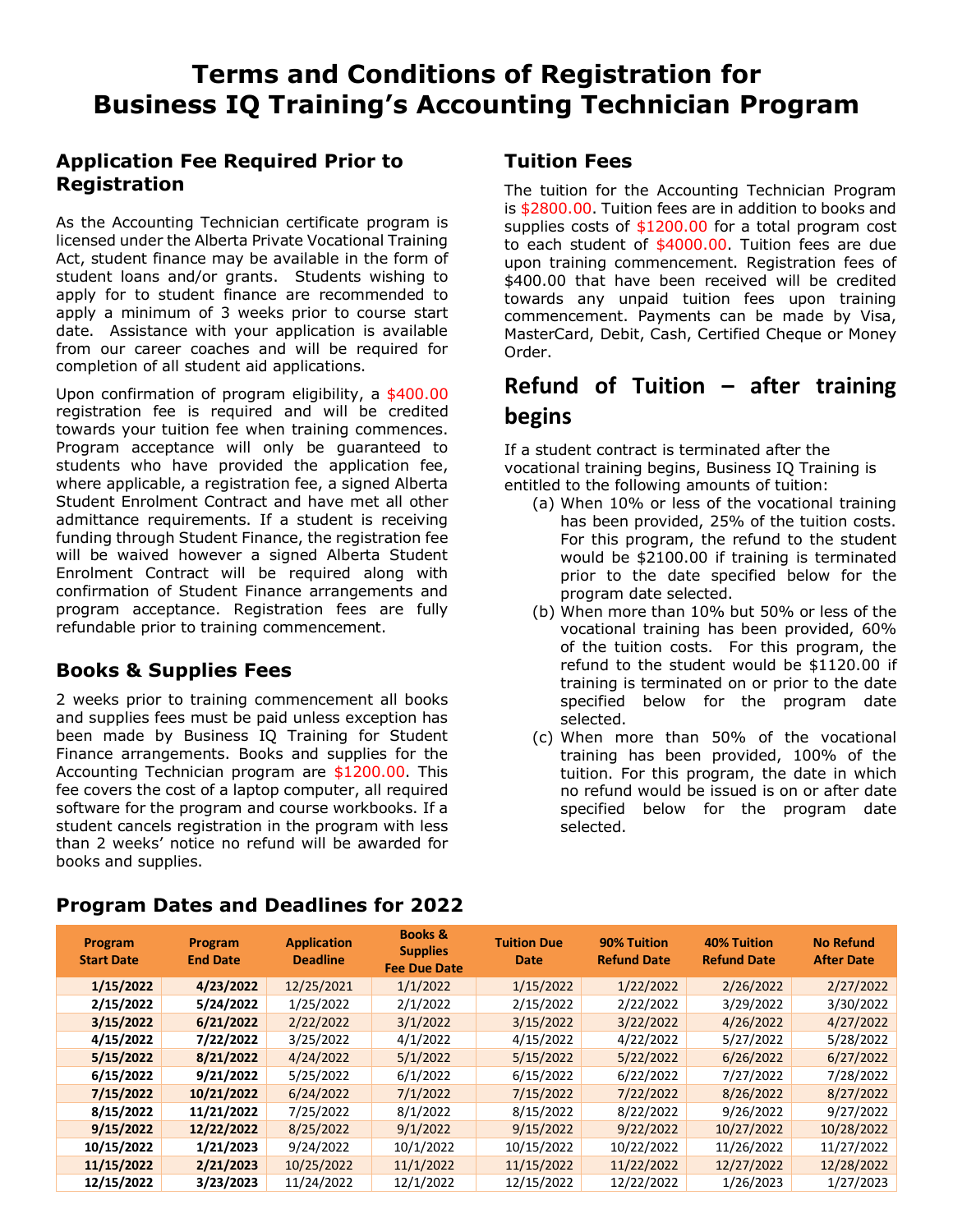#### **Application Fee Required Prior to Registration**

As the Accounting Technician certificate program is licensed under the Alberta Private Vocational Training Act, student finance may be available in the form of student loans and/or grants. Students wishing to apply for to student finance are recommended to apply a minimum of 3 weeks prior to course start date. Assistance with your application is available from our career coaches and will be required for completion of all student aid applications.

Upon confirmation of program eligibility, a \$400.00 registration fee is required and will be credited towards your tuition fee when training commences. Program acceptance will only be guaranteed to students who have provided the application fee, where applicable, a registration fee, a signed Alberta Student Enrolment Contract and have met all other admittance requirements. If a student is receiving funding through Student Finance, the registration fee will be waived however a signed Alberta Student Enrolment Contract will be required along with confirmation of Student Finance arrangements and program acceptance. Registration fees are fully refundable prior to training commencement.

#### **Books & Supplies Fees**

2 weeks prior to training commencement all books and supplies fees must be paid unless exception has been made by Business IQ Training for Student Finance arrangements. Books and supplies for the Accounting Technician program are \$1200.00. This fee covers the cost of a laptop computer, all required software for the program and course workbooks. If a student cancels registration in the program with less than 2 weeks' notice no refund will be awarded for books and supplies.

#### **Tuition Fees**

The tuition for the Accounting Technician Program is \$2800.00. Tuition fees are in addition to books and supplies costs of \$1200.00 for a total program cost to each student of \$4000.00. Tuition fees are due upon training commencement. Registration fees of \$400.00 that have been received will be credited towards any unpaid tuition fees upon training commencement. Payments can be made by Visa, MasterCard, Debit, Cash, Certified Cheque or Money Order.

### **Refund of Tuition – after training begins**

If a student contract is terminated after the vocational training begins, Business IQ Training is entitled to the following amounts of tuition:

- (a) When 10% or less of the vocational training has been provided, 25% of the tuition costs. For this program, the refund to the student would be \$2100.00 if training is terminated prior to the date specified below for the program date selected.
- (b) When more than 10% but 50% or less of the vocational training has been provided, 60% of the tuition costs. For this program, the refund to the student would be \$1120.00 if training is terminated on or prior to the date specified below for the program date selected.
- (c) When more than 50% of the vocational training has been provided, 100% of the tuition. For this program, the date in which no refund would be issued is on or after date specified below for the program date selected.

| Program<br><b>Start Date</b> | Program<br><b>End Date</b> | <b>Application</b><br><b>Deadline</b> | <b>Books &amp;</b><br><b>Supplies</b><br><b>Fee Due Date</b> | <b>Tuition Due</b><br><b>Date</b> | 90% Tuition<br><b>Refund Date</b> | <b>40% Tuition</b><br><b>Refund Date</b> | <b>No Refund</b><br><b>After Date</b> |  |
|------------------------------|----------------------------|---------------------------------------|--------------------------------------------------------------|-----------------------------------|-----------------------------------|------------------------------------------|---------------------------------------|--|
| 1/15/2022                    | 4/23/2022                  | 12/25/2021                            | 1/1/2022                                                     | 1/15/2022                         | 1/22/2022                         | 2/26/2022                                | 2/27/2022                             |  |
| 2/15/2022                    | 5/24/2022                  | 1/25/2022                             | 2/1/2022                                                     | 2/15/2022                         | 2/22/2022                         | 3/29/2022                                | 3/30/2022                             |  |
| 3/15/2022                    | 6/21/2022                  | 2/22/2022                             | 3/1/2022                                                     | 3/15/2022                         | 3/22/2022                         | 4/26/2022                                | 4/27/2022                             |  |
| 4/15/2022                    | 7/22/2022                  | 3/25/2022                             | 4/1/2022                                                     | 4/15/2022                         | 4/22/2022                         | 5/27/2022                                | 5/28/2022                             |  |
| 5/15/2022                    | 8/21/2022                  | 4/24/2022                             | 5/1/2022                                                     | 5/15/2022                         | 5/22/2022                         | 6/26/2022                                | 6/27/2022                             |  |
| 6/15/2022                    | 9/21/2022                  | 5/25/2022                             | 6/1/2022                                                     | 6/15/2022                         | 6/22/2022                         | 7/27/2022                                | 7/28/2022                             |  |
| 7/15/2022                    | 10/21/2022                 | 6/24/2022                             | 7/1/2022                                                     | 7/15/2022                         | 7/22/2022                         | 8/26/2022                                | 8/27/2022                             |  |
| 8/15/2022                    | 11/21/2022                 | 7/25/2022                             | 8/1/2022                                                     | 8/15/2022                         | 8/22/2022                         | 9/26/2022                                | 9/27/2022                             |  |
| 9/15/2022                    | 12/22/2022                 | 8/25/2022                             | 9/1/2022                                                     | 9/15/2022                         | 9/22/2022                         | 10/27/2022                               | 10/28/2022                            |  |
| 10/15/2022                   | 1/21/2023                  | 9/24/2022                             | 10/1/2022                                                    | 10/15/2022                        | 10/22/2022                        | 11/26/2022                               | 11/27/2022                            |  |
| 11/15/2022                   | 2/21/2023                  | 10/25/2022                            | 11/1/2022                                                    | 11/15/2022                        | 11/22/2022                        | 12/27/2022                               | 12/28/2022                            |  |
| 12/15/2022                   | 3/23/2023                  | 11/24/2022                            | 12/1/2022                                                    | 12/15/2022                        | 12/22/2022                        | 1/26/2023                                | 1/27/2023                             |  |

#### **Program Dates and Deadlines for 2022**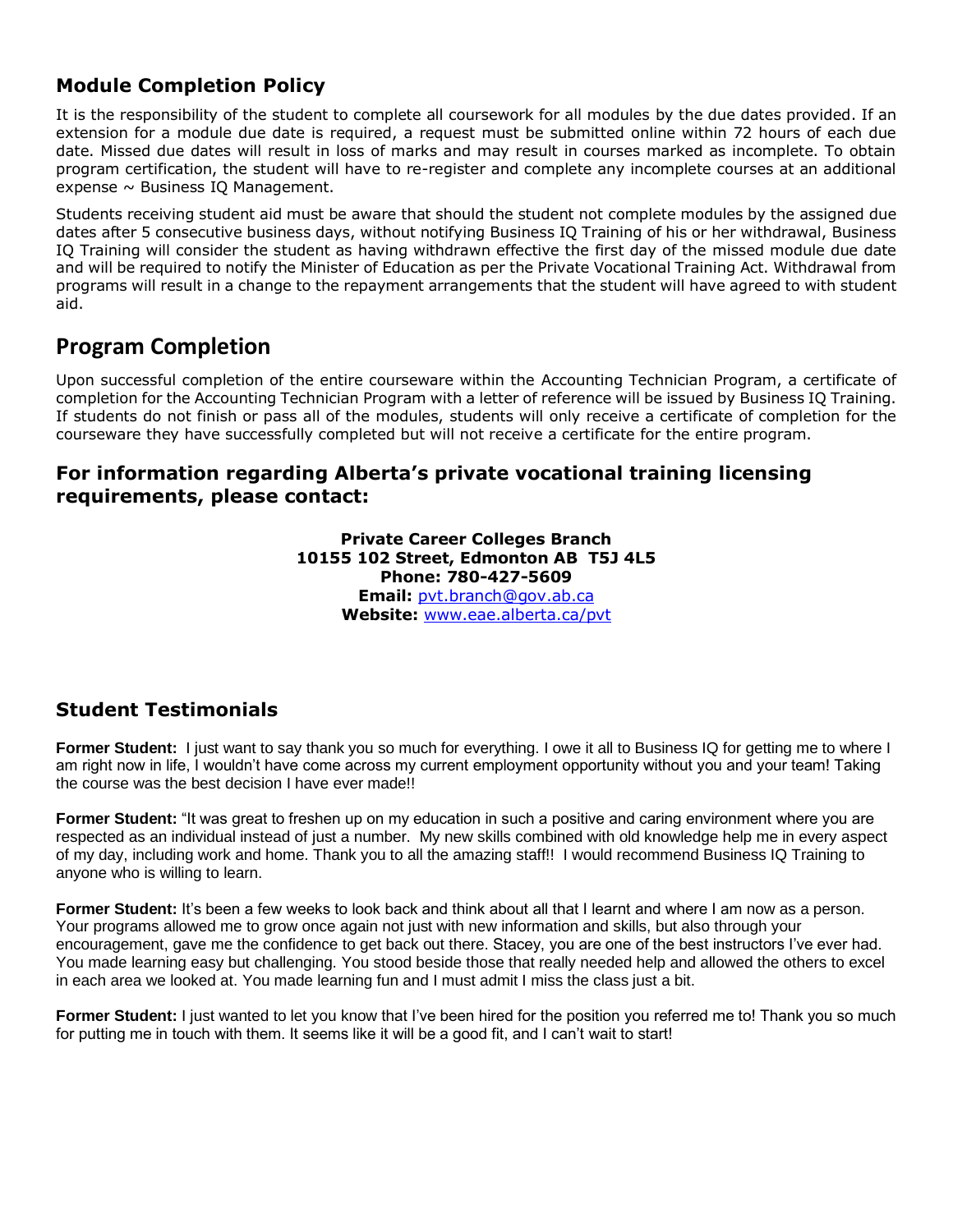#### **Module Completion Policy**

It is the responsibility of the student to complete all coursework for all modules by the due dates provided. If an extension for a module due date is required, a request must be submitted online within 72 hours of each due date. Missed due dates will result in loss of marks and may result in courses marked as incomplete. To obtain program certification, the student will have to re-register and complete any incomplete courses at an additional expense  $\sim$  Business IQ Management.

Students receiving student aid must be aware that should the student not complete modules by the assigned due dates after 5 consecutive business days, without notifying Business IQ Training of his or her withdrawal, Business IQ Training will consider the student as having withdrawn effective the first day of the missed module due date and will be required to notify the Minister of Education as per the Private Vocational Training Act. Withdrawal from programs will result in a change to the repayment arrangements that the student will have agreed to with student aid.

#### **Program Completion**

Upon successful completion of the entire courseware within the Accounting Technician Program, a certificate of completion for the Accounting Technician Program with a letter of reference will be issued by Business IQ Training. If students do not finish or pass all of the modules, students will only receive a certificate of completion for the courseware they have successfully completed but will not receive a certificate for the entire program.

#### **For information regarding Alberta's private vocational training licensing requirements, please contact:**

#### **Private Career Colleges Branch 10155 102 Street, Edmonton AB T5J 4L5 Phone: 780-427-5609 Email:** [pvt.branch@gov.ab.ca](mailto:pvt.branch@gov.ab.ca) **Website:** [www.eae.alberta.ca/pvt](http://www.eae.alberta.ca/pvt)

#### **Student Testimonials**

**Former Student:** I just want to say thank you so much for everything. I owe it all to Business IQ for getting me to where I am right now in life, I wouldn't have come across my current employment opportunity without you and your team! Taking the course was the best decision I have ever made!!

**Former Student:** "It was great to freshen up on my education in such a positive and caring environment where you are respected as an individual instead of just a number. My new skills combined with old knowledge help me in every aspect of my day, including work and home. Thank you to all the amazing staff!! I would recommend Business IQ Training to anyone who is willing to learn.

**Former Student:** It's been a few weeks to look back and think about all that I learnt and where I am now as a person. Your programs allowed me to grow once again not just with new information and skills, but also through your encouragement, gave me the confidence to get back out there. Stacey, you are one of the best instructors I've ever had. You made learning easy but challenging. You stood beside those that really needed help and allowed the others to excel in each area we looked at. You made learning fun and I must admit I miss the class just a bit.

**Former Student:** I just wanted to let you know that I've been hired for the position you referred me to! Thank you so much for putting me in touch with them. It seems like it will be a good fit, and I can't wait to start!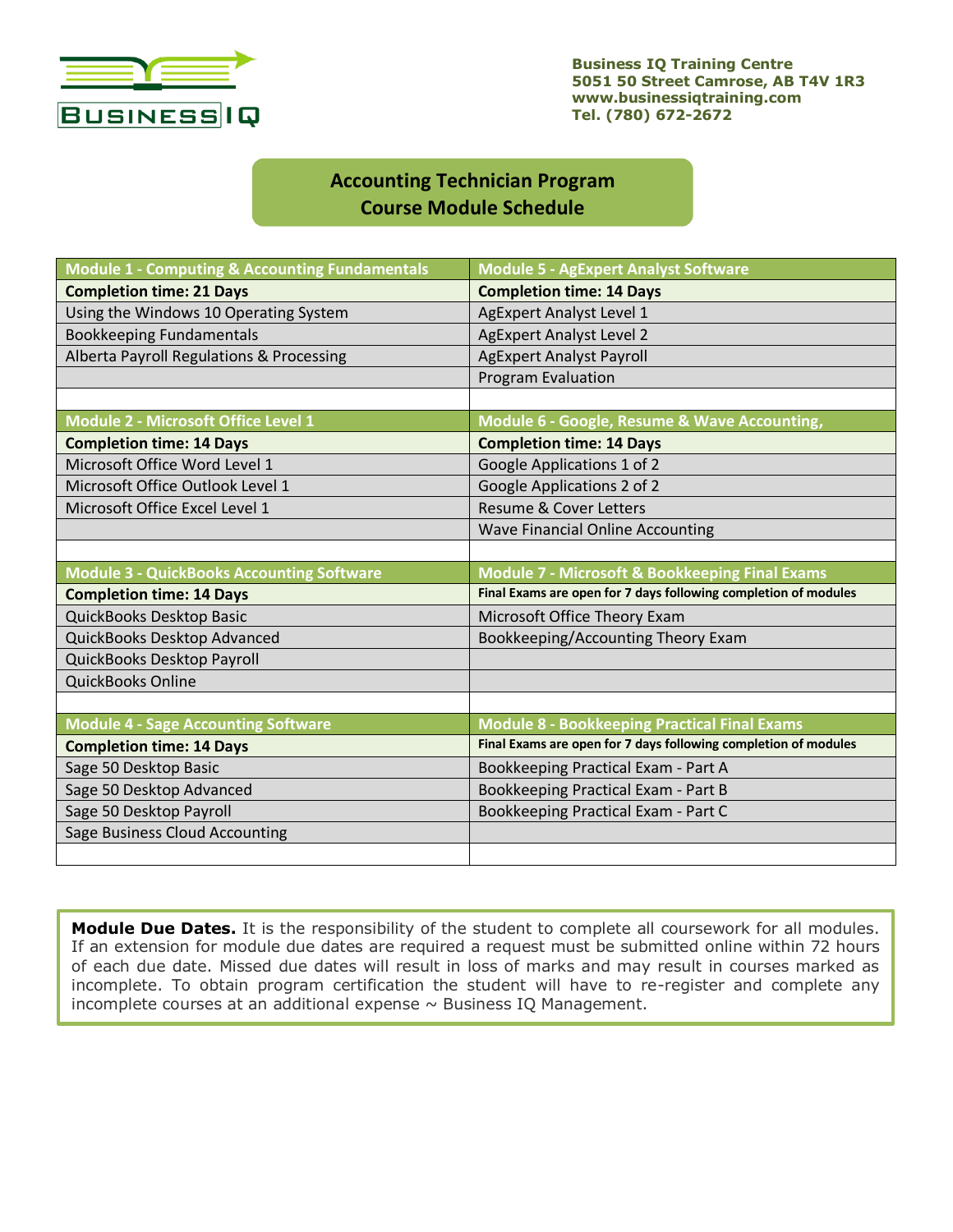

**Business IQ Training Centre 5051 50 Street Camrose, AB T4V 1R3 www.businessiqtraining.com Tel. (780) 672-2672**

#### **Accounting Technician Program Course Module Schedule**

| <b>Module 1 - Computing &amp; Accounting Fundamentals</b> | <b>Module 5 - AgExpert Analyst Software</b>                     |  |  |  |  |
|-----------------------------------------------------------|-----------------------------------------------------------------|--|--|--|--|
| <b>Completion time: 21 Days</b>                           | <b>Completion time: 14 Days</b>                                 |  |  |  |  |
| Using the Windows 10 Operating System                     | <b>AgExpert Analyst Level 1</b>                                 |  |  |  |  |
| <b>Bookkeeping Fundamentals</b>                           | <b>AgExpert Analyst Level 2</b>                                 |  |  |  |  |
| Alberta Payroll Regulations & Processing                  | <b>AgExpert Analyst Payroll</b>                                 |  |  |  |  |
|                                                           | Program Evaluation                                              |  |  |  |  |
|                                                           |                                                                 |  |  |  |  |
| <b>Module 2 - Microsoft Office Level 1</b>                | Module 6 - Google, Resume & Wave Accounting,                    |  |  |  |  |
| <b>Completion time: 14 Days</b>                           | <b>Completion time: 14 Days</b>                                 |  |  |  |  |
| Microsoft Office Word Level 1                             | Google Applications 1 of 2                                      |  |  |  |  |
| Microsoft Office Outlook Level 1                          | Google Applications 2 of 2                                      |  |  |  |  |
| Microsoft Office Excel Level 1                            | <b>Resume &amp; Cover Letters</b>                               |  |  |  |  |
|                                                           | <b>Wave Financial Online Accounting</b>                         |  |  |  |  |
|                                                           |                                                                 |  |  |  |  |
|                                                           |                                                                 |  |  |  |  |
| <b>Module 3 - QuickBooks Accounting Software</b>          | <b>Module 7 - Microsoft &amp; Bookkeeping Final Exams</b>       |  |  |  |  |
| <b>Completion time: 14 Days</b>                           | Final Exams are open for 7 days following completion of modules |  |  |  |  |
| QuickBooks Desktop Basic                                  | Microsoft Office Theory Exam                                    |  |  |  |  |
| QuickBooks Desktop Advanced                               | Bookkeeping/Accounting Theory Exam                              |  |  |  |  |
| QuickBooks Desktop Payroll                                |                                                                 |  |  |  |  |
| <b>QuickBooks Online</b>                                  |                                                                 |  |  |  |  |
|                                                           |                                                                 |  |  |  |  |
| <b>Module 4 - Sage Accounting Software</b>                | <b>Module 8 - Bookkeeping Practical Final Exams</b>             |  |  |  |  |
| <b>Completion time: 14 Days</b>                           | Final Exams are open for 7 days following completion of modules |  |  |  |  |
| Sage 50 Desktop Basic                                     | Bookkeeping Practical Exam - Part A                             |  |  |  |  |
| Sage 50 Desktop Advanced                                  | Bookkeeping Practical Exam - Part B                             |  |  |  |  |
| Sage 50 Desktop Payroll                                   | Bookkeeping Practical Exam - Part C                             |  |  |  |  |
| Sage Business Cloud Accounting                            |                                                                 |  |  |  |  |

**Module Due Dates.** It is the responsibility of the student to complete all coursework for all modules. If an extension for module due dates are required a request must be submitted online within 72 hours of each due date. Missed due dates will result in loss of marks and may result in courses marked as incomplete. To obtain program certification the student will have to re-register and complete any incomplete courses at an additional expense  $\sim$  Business IQ Management.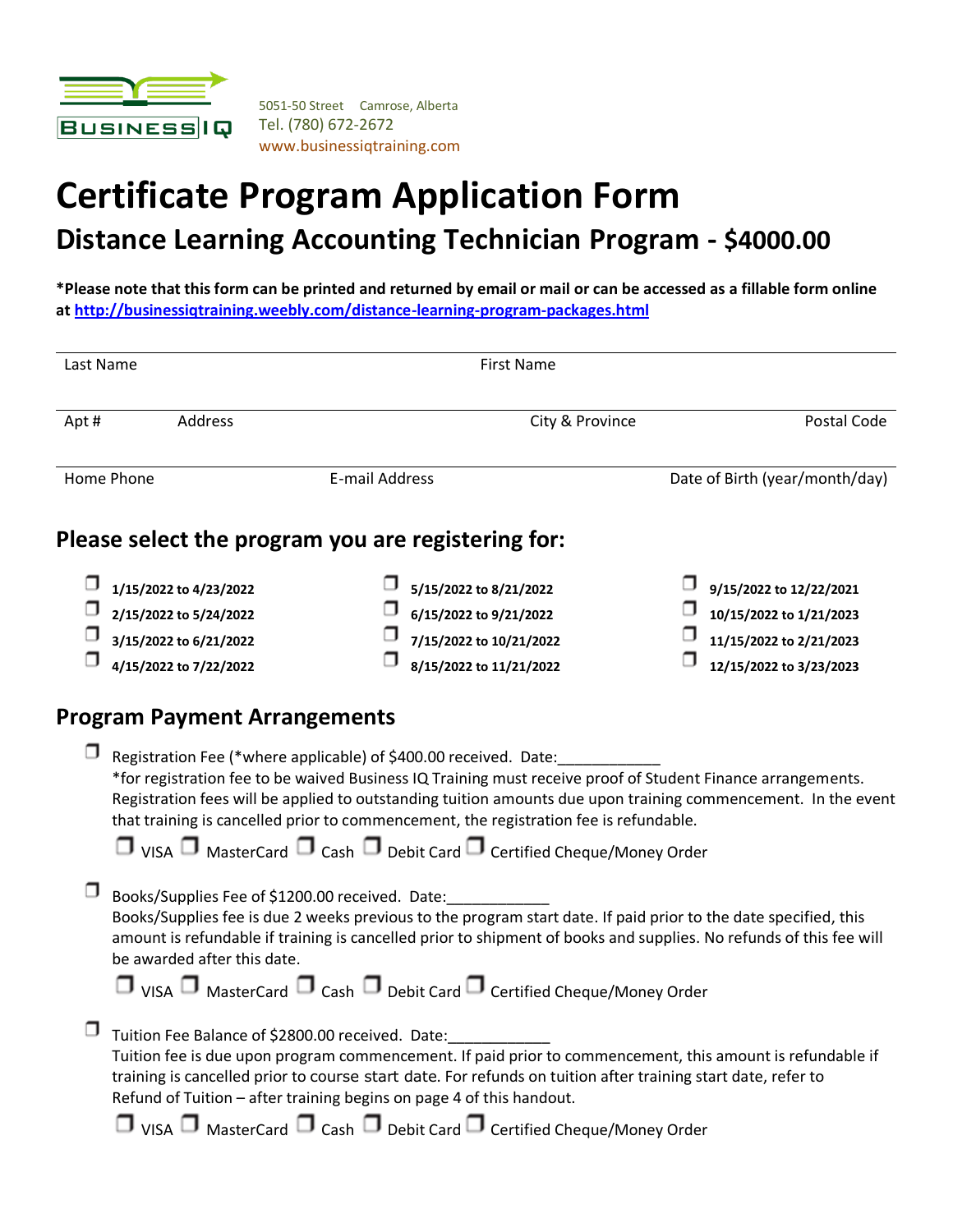

5051-50 Street Camrose, Alberta Tel. (780) 672-2672 www.businessiqtraining.com

# **Certificate Program Application Form Distance Learning Accounting Technician Program - \$4000.00**

**\*Please note that this form can be printed and returned by email or mail or can be accessed as a fillable form online a[t http://businessiqtraining.weebly.com/distance-learning-program-packages.html](http://businessiqtraining.weebly.com/distance-learning-program-packages.html)**

| Last Name              | <b>First Name</b> |                                                    |                 |                                |  |  |  |
|------------------------|-------------------|----------------------------------------------------|-----------------|--------------------------------|--|--|--|
| Apt#                   | Address           |                                                    | City & Province | Postal Code                    |  |  |  |
| Home Phone             |                   | E-mail Address                                     |                 | Date of Birth (year/month/day) |  |  |  |
|                        |                   |                                                    |                 |                                |  |  |  |
|                        |                   | Please select the program you are registering for: |                 |                                |  |  |  |
| 1/15/2022 to 4/23/2022 |                   | 5/15/2022 to 8/21/2022                             |                 | 9/15/2022 to 12/22/2021        |  |  |  |
| 2/15/2022 to 5/24/2022 |                   | 6/15/2022 to 9/21/2022                             |                 | 10/15/2022 to 1/21/2023        |  |  |  |
| 3/15/2022 to 6/21/2022 |                   | 7/15/2022 to 10/21/2022                            |                 | 11/15/2022 to 2/21/2023        |  |  |  |

#### **Program Payment Arrangements**

| Registration Fee (*where applicable) of \$400.00 received. Date:<br>*for registration fee to be waived Business IQ Training must receive proof of Student Finance arrangements.<br>Registration fees will be applied to outstanding tuition amounts due upon training commencement. In the event<br>that training is cancelled prior to commencement, the registration fee is refundable.<br>$\Box$ VISA $\Box$ MasterCard $\Box$ Cash $\Box$ Debit Card $\Box$ Certified Cheque/Money Order |
|----------------------------------------------------------------------------------------------------------------------------------------------------------------------------------------------------------------------------------------------------------------------------------------------------------------------------------------------------------------------------------------------------------------------------------------------------------------------------------------------|
| Books/Supplies Fee of \$1200.00 received. Date:<br>Books/Supplies fee is due 2 weeks previous to the program start date. If paid prior to the date specified, this<br>amount is refundable if training is cancelled prior to shipment of books and supplies. No refunds of this fee will<br>be awarded after this date.<br>$\Box$ VISA $\Box$ MasterCard $\Box$ Cash $\Box$ Debit Card $\Box$ Certified Cheque/Money Order                                                                   |
| Tuition Fee Balance of \$2800.00 received. Date:<br>Tuition fee is due upon program commencement. If paid prior to commencement, this amount is refundable if<br>training is cancelled prior to course start date. For refunds on tuition after training start date, refer to<br>Refund of Tuition - after training begins on page 4 of this handout.<br>$\Box$ VISA $\Box$ MasterCard $\Box$ Cash $\Box$ Debit Card $\Box$ Certified Cheque/Money Order                                     |